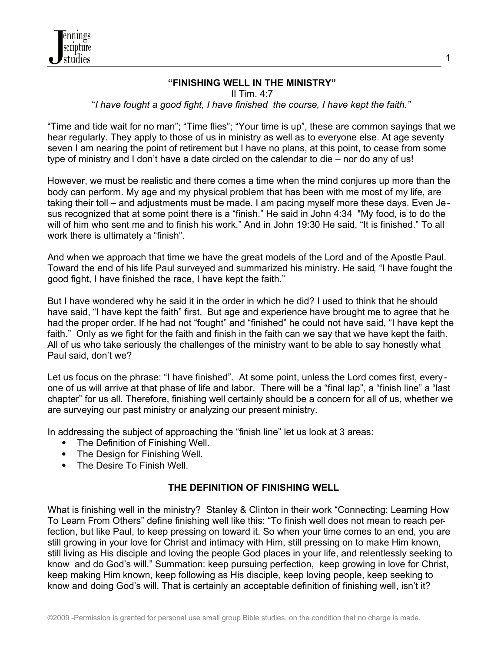

### **"FINISHING WELL IN THE MINISTRY"**

1

II Tim.  $4:7$ 

### "*I have fought a good fight, I have finished the course, I have kept the faith."*

"Time and tide wait for no man"; "Time flies"; "Your time is up", these are common sayings that we hear regularly. They apply to those of us in ministry as well as to everyone else. At age seventy seven I am nearing the point of retirement but I have no plans, at this point, to cease from some type of ministry and I don't have a date circled on the calendar to die – nor do any of us!

However, we must be realistic and there comes a time when the mind conjures up more than the body can perform. My age and my physical problem that has been with me most of my life, are taking their toll – and adjustments must be made. I am pacing myself more these days. Even Jesus recognized that at some point there is a "finish." He said in John 4:34 "My food, is to do the will of him who sent me and to finish his work." And in John 19:30 He said, "It is finished." To all work there is ultimately a "finish".

And when we approach that time we have the great models of the Lord and of the Apostle Paul. Toward the end of his life Paul surveyed and summarized his ministry. He said*,* "I have fought the good fight, I have finished the race, I have kept the faith."

But I have wondered why he said it in the order in which he did? I used to think that he should have said, "I have kept the faith" first. But age and experience have brought me to agree that he had the proper order. If he had not "fought" and "finished" he could not have said, "I have kept the faith." Only as we fight for the faith and finish in the faith can we say that we have kept the faith. All of us who take seriously the challenges of the ministry want to be able to say honestly what Paul said, don't we?

Let us focus on the phrase: "I have finished". At some point, unless the Lord comes first, everyone of us will arrive at that phase of life and labor. There will be a "final lap", a "finish line" a "last chapter" for us all. Therefore, finishing well certainly should be a concern for all of us, whether we are surveying our past ministry or analyzing our present ministry.

In addressing the subject of approaching the "finish line" let us look at 3 areas:

- The Definition of Finishing Well.
- The Design for Finishing Well.
- The Desire To Finish Well

# **THE DEFINITION OF FINISHING WELL**

What is finishing well in the ministry? Stanley & Clinton in their work "Connecting: Learning How To Learn From Others" define finishing well like this: "To finish well does not mean to reach perfection, but like Paul, to keep pressing on toward it. So when your time comes to an end, you are still growing in your love for Christ and intimacy with Him, still pressing on to make Him known, still living as His disciple and loving the people God places in your life, and relentlessly seeking to know and do God's will." Summation: keep pursuing perfection, keep growing in love for Christ, keep making Him known, keep following as His disciple, keep loving people, keep seeking to know and doing God's will. That is certainly an acceptable definition of finishing well, isn't it?

©2009 -Permission is granted for personal use small group Bible studies, on the condition that no charge is made.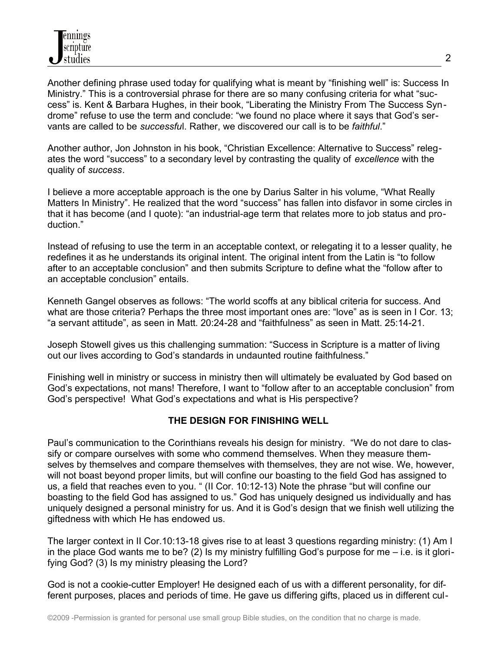Another defining phrase used today for qualifying what is meant by "finishing well" is: Success In Ministry." This is a controversial phrase for there are so many confusing criteria for what "success" is. Kent & Barbara Hughes, in their book, "Liberating the Ministry From The Success Syndrome" refuse to use the term and conclude: "we found no place where it says that God's servants are called to be *successfu*l. Rather, we discovered our call is to be *faithful*."

Another author, Jon Johnston in his book, "Christian Excellence: Alternative to Success" relegates the word "success" to a secondary level by contrasting the quality of *excellence* with the quality of *success*.

I believe a more acceptable approach is the one by Darius Salter in his volume, "What Really Matters In Ministry". He realized that the word "success" has fallen into disfavor in some circles in that it has become (and I quote): "an industrial-age term that relates more to job status and production."

Instead of refusing to use the term in an acceptable context, or relegating it to a lesser quality, he redefines it as he understands its original intent. The original intent from the Latin is "to follow after to an acceptable conclusion" and then submits Scripture to define what the "follow after to an acceptable conclusion" entails.

Kenneth Gangel observes as follows: "The world scoffs at any biblical criteria for success. And what are those criteria? Perhaps the three most important ones are: "love" as is seen in I Cor. 13; "a servant attitude", as seen in Matt. 20:24-28 and "faithfulness" as seen in Matt. 25:14-21.

Joseph Stowell gives us this challenging summation: "Success in Scripture is a matter of living out our lives according to God's standards in undaunted routine faithfulness."

Finishing well in ministry or success in ministry then will ultimately be evaluated by God based on God's expectations, not mans! Therefore, I want to "follow after to an acceptable conclusion" from God's perspective! What God's expectations and what is His perspective?

# **THE DESIGN FOR FINISHING WELL**

Paul's communication to the Corinthians reveals his design for ministry. "We do not dare to classify or compare ourselves with some who commend themselves. When they measure themselves by themselves and compare themselves with themselves, they are not wise. We, however, will not boast beyond proper limits, but will confine our boasting to the field God has assigned to us, a field that reaches even to you. " (II Cor. 10:12-13) Note the phrase "but will confine our boasting to the field God has assigned to us." God has uniquely designed us individually and has uniquely designed a personal ministry for us. And it is God's design that we finish well utilizing the giftedness with which He has endowed us.

The larger context in II Cor.10:13-18 gives rise to at least 3 questions regarding ministry: (1) Am I in the place God wants me to be? (2) Is my ministry fulfilling God's purpose for me  $-$  i.e. is it glorifying God? (3) Is my ministry pleasing the Lord?

God is not a cookie-cutter Employer! He designed each of us with a different personality, for different purposes, places and periods of time. He gave us differing gifts, placed us in different cul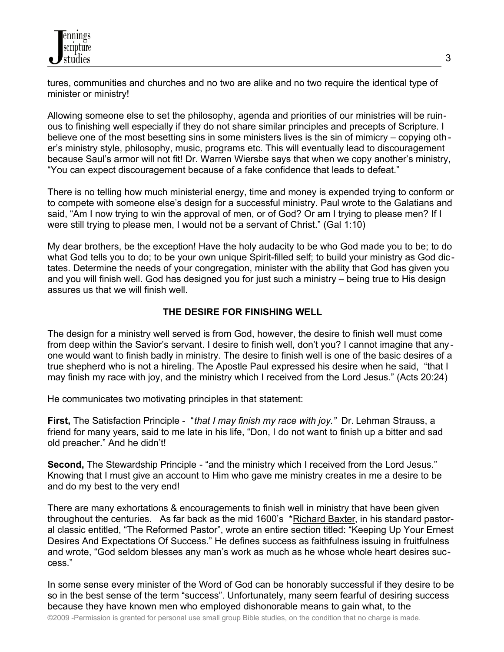tures, communities and churches and no two are alike and no two require the identical type of minister or ministry!

Allowing someone else to set the philosophy, agenda and priorities of our ministries will be ruinous to finishing well especially if they do not share similar principles and precepts of Scripture. I believe one of the most besetting sins in some ministers lives is the sin of mimicry – copying oth er's ministry style, philosophy, music, programs etc. This will eventually lead to discouragement because Saul's armor will not fit! Dr. Warren Wiersbe says that when we copy another's ministry, "You can expect discouragement because of a fake confidence that leads to defeat."

There is no telling how much ministerial energy, time and money is expended trying to conform or to compete with someone else's design for a successful ministry. Paul wrote to the Galatians and said, "Am I now trying to win the approval of men, or of God? Or am I trying to please men? If I were still trying to please men, I would not be a servant of Christ." (Gal 1:10)

My dear brothers, be the exception! Have the holy audacity to be who God made you to be; to do what God tells you to do; to be your own unique Spirit-filled self; to build your ministry as God dictates. Determine the needs of your congregation, minister with the ability that God has given you and you will finish well. God has designed you for just such a ministry – being true to His design assures us that we will finish well.

### **THE DESIRE FOR FINISHING WELL**

The design for a ministry well served is from God, however, the desire to finish well must come from deep within the Savior's servant. I desire to finish well, don't you? I cannot imagine that any one would want to finish badly in ministry. The desire to finish well is one of the basic desires of a true shepherd who is not a hireling. The Apostle Paul expressed his desire when he said, "that I may finish my race with joy, and the ministry which I received from the Lord Jesus." (Acts 20:24)

He communicates two motivating principles in that statement:

**First,** The Satisfaction Principle - "*that I may finish my race with joy."* Dr. Lehman Strauss, a friend for many years, said to me late in his life, "Don, I do not want to finish up a bitter and sad old preacher." And he didn't!

**Second,** The Stewardship Principle - "and the ministry which I received from the Lord Jesus." Knowing that I must give an account to Him who gave me ministry creates in me a desire to be and do my best to the very end!

There are many exhortations & encouragements to finish well in ministry that have been given throughout the centuries. As far back as the mid 1600's \*Richard Baxter, in his standard pastoral classic entitled, "The Reformed Pastor", wrote an entire section titled: "Keeping Up Your Ernest Desires And Expectations Of Success." He defines success as faithfulness issuing in fruitfulness and wrote, "God seldom blesses any man's work as much as he whose whole heart desires success."

In some sense every minister of the Word of God can be honorably successful if they desire to be so in the best sense of the term "success". Unfortunately, many seem fearful of desiring success because they have known men who employed dishonorable means to gain what, to the